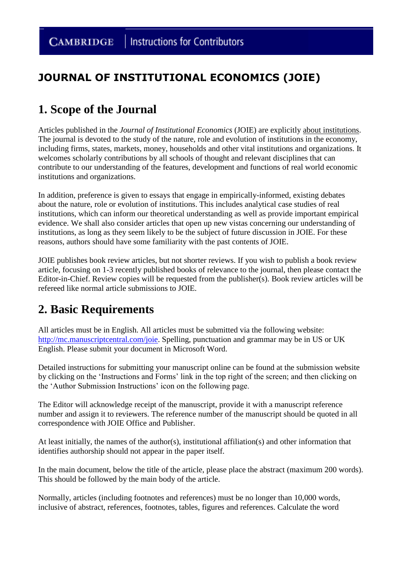### **JOURNAL OF INSTITUTIONAL ECONOMICS (JOIE)**

# **1. Scope of the Journal**

Articles published in the *Journal of Institutional Economics* (JOIE) are explicitly about institutions. The journal is devoted to the study of the nature, role and evolution of institutions in the economy, including firms, states, markets, money, households and other vital institutions and organizations. It welcomes scholarly contributions by all schools of thought and relevant disciplines that can contribute to our understanding of the features, development and functions of real world economic institutions and organizations.

In addition, preference is given to essays that engage in empirically-informed, existing debates about the nature, role or evolution of institutions. This includes analytical case studies of real institutions, which can inform our theoretical understanding as well as provide important empirical evidence. We shall also consider articles that open up new vistas concerning our understanding of institutions, as long as they seem likely to be the subject of future discussion in JOIE. For these reasons, authors should have some familiarity with the past contents of JOIE.

JOIE publishes book review articles, but not shorter reviews. If you wish to publish a book review article, focusing on 1-3 recently published books of relevance to the journal, then please contact the Editor-in-Chief. Review copies will be requested from the publisher(s). Book review articles will be refereed like normal article submissions to JOIE.

# **2. Basic Requirements**

All articles must be in English. All articles must be submitted via the following website: [http://mc.manuscriptcentral.com/joie.](http://mc.manuscriptcentral.com/joie) Spelling, punctuation and grammar may be in US or UK English. Please submit your document in Microsoft Word.

Detailed instructions for submitting your manuscript online can be found at the submission website by clicking on the 'Instructions and Forms' link in the top right of the screen; and then clicking on the 'Author Submission Instructions' icon on the following page.

The Editor will acknowledge receipt of the manuscript, provide it with a manuscript reference number and assign it to reviewers. The reference number of the manuscript should be quoted in all correspondence with JOIE Office and Publisher.

At least initially, the names of the author(s), institutional affiliation(s) and other information that identifies authorship should not appear in the paper itself.

In the main document, below the title of the article, please place the abstract (maximum 200 words). This should be followed by the main body of the article.

Normally, articles (including footnotes and references) must be no longer than 10,000 words, inclusive of abstract, references, footnotes, tables, figures and references. Calculate the word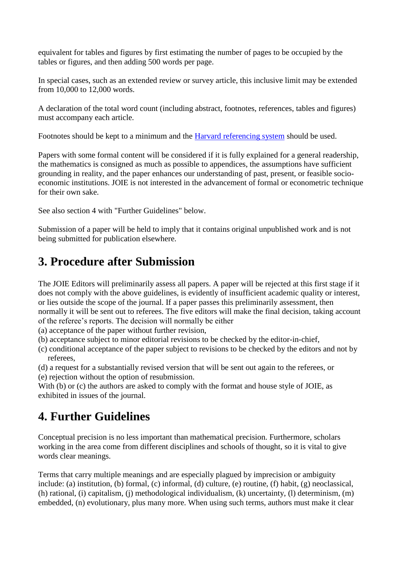equivalent for tables and figures by first estimating the number of pages to be occupied by the tables or figures, and then adding 500 words per page.

In special cases, such as an extended review or survey article, this inclusive limit may be extended from 10,000 to 12,000 words.

A declaration of the total word count (including abstract, footnotes, references, tables and figures) must accompany each article.

Footnotes should be kept to a minimum and the [Harvard referencing system](http://en.wikipedia.org/wiki/Parenthetical_referencing) should be used.

Papers with some formal content will be considered if it is fully explained for a general readership, the mathematics is consigned as much as possible to appendices, the assumptions have sufficient grounding in reality, and the paper enhances our understanding of past, present, or feasible socioeconomic institutions. JOIE is not interested in the advancement of formal or econometric technique for their own sake.

See also section 4 with "Further Guidelines" below.

Submission of a paper will be held to imply that it contains original unpublished work and is not being submitted for publication elsewhere.

# **3. Procedure after Submission**

The JOIE Editors will preliminarily assess all papers. A paper will be rejected at this first stage if it does not comply with the above guidelines, is evidently of insufficient academic quality or interest, or lies outside the scope of the journal. If a paper passes this preliminarily assessment, then normally it will be sent out to referees. The five editors will make the final decision, taking account of the referee's reports. The decision will normally be either

(a) acceptance of the paper without further revision,

- (b) acceptance subject to minor editorial revisions to be checked by the editor-in-chief,
- (c) conditional acceptance of the paper subject to revisions to be checked by the editors and not by referees,
- (d) a request for a substantially revised version that will be sent out again to the referees, or (e) rejection without the option of resubmission.

With (b) or (c) the authors are asked to comply with the format and house style of JOIE, as exhibited in issues of the journal.

# **4. Further Guidelines**

Conceptual precision is no less important than mathematical precision. Furthermore, scholars working in the area come from different disciplines and schools of thought, so it is vital to give words clear meanings.

Terms that carry multiple meanings and are especially plagued by imprecision or ambiguity include: (a) institution, (b) formal, (c) informal, (d) culture, (e) routine, (f) habit, (g) neoclassical, (h) rational, (i) capitalism, (j) methodological individualism, (k) uncertainty, (l) determinism, (m) embedded, (n) evolutionary, plus many more. When using such terms, authors must make it clear